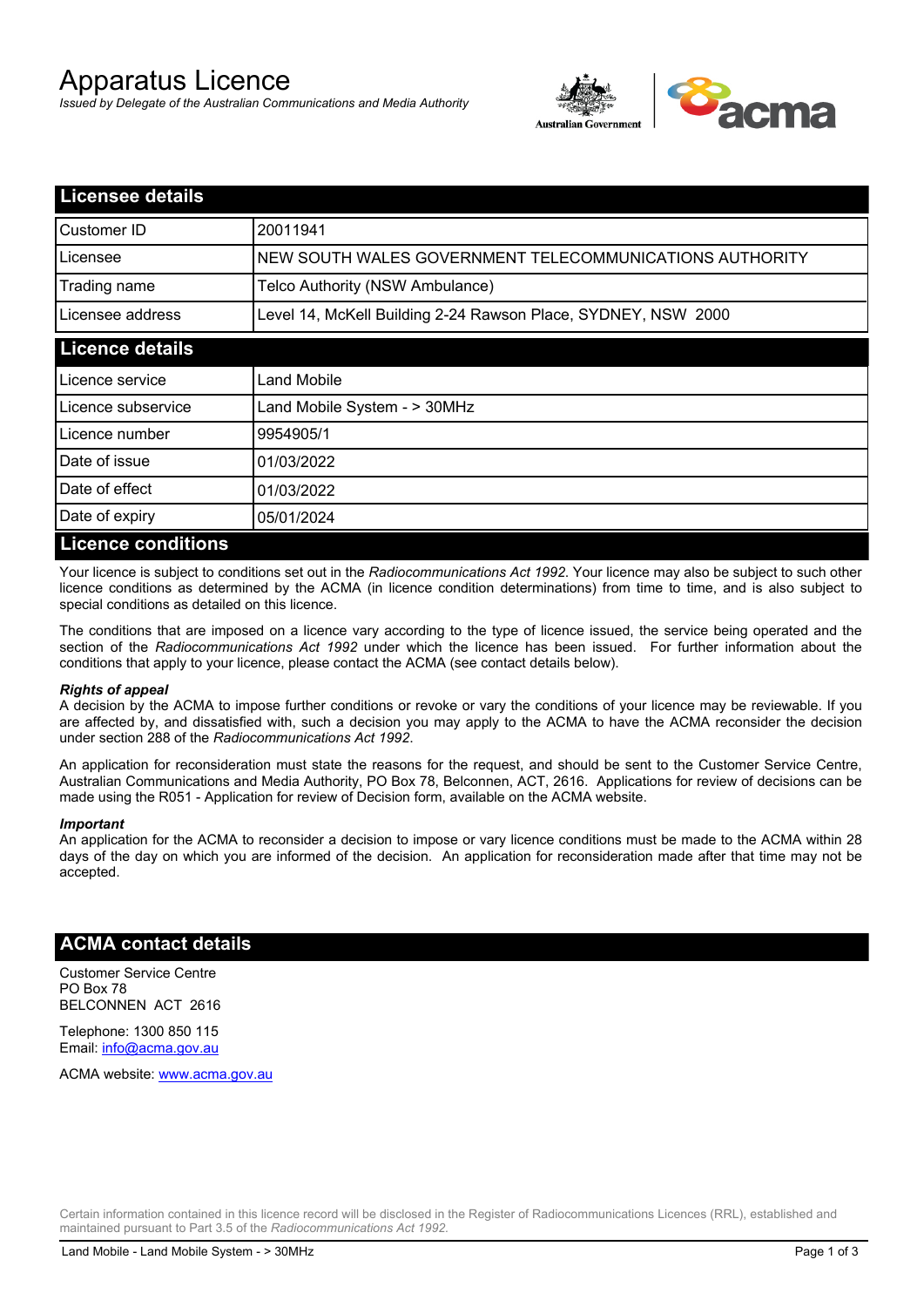# Apparatus Licence

*Issued by Delegate of the Australian Communications and Media Authority*



| <b>Licensee details</b>   |                                                               |  |  |
|---------------------------|---------------------------------------------------------------|--|--|
| <b>Customer ID</b>        | 20011941                                                      |  |  |
| Licensee                  | NEW SOUTH WALES GOVERNMENT TELECOMMUNICATIONS AUTHORITY       |  |  |
| Trading name              | Telco Authority (NSW Ambulance)                               |  |  |
| Licensee address          | Level 14, McKell Building 2-24 Rawson Place, SYDNEY, NSW 2000 |  |  |
| <b>Licence details</b>    |                                                               |  |  |
| Licence service           | Land Mobile                                                   |  |  |
| Licence subservice        | Land Mobile System - > 30MHz                                  |  |  |
| Licence number            | 9954905/1                                                     |  |  |
| Date of issue             | 01/03/2022                                                    |  |  |
| Date of effect            | 01/03/2022                                                    |  |  |
| Date of expiry            | 05/01/2024                                                    |  |  |
| <b>Licence conditions</b> |                                                               |  |  |

Your licence is subject to conditions set out in the *Radiocommunications Act 1992*. Your licence may also be subject to such other licence conditions as determined by the ACMA (in licence condition determinations) from time to time, and is also subject to special conditions as detailed on this licence.

The conditions that are imposed on a licence vary according to the type of licence issued, the service being operated and the section of the *Radiocommunications Act 1992* under which the licence has been issued. For further information about the conditions that apply to your licence, please contact the ACMA (see contact details below).

#### *Rights of appeal*

A decision by the ACMA to impose further conditions or revoke or vary the conditions of your licence may be reviewable. If you are affected by, and dissatisfied with, such a decision you may apply to the ACMA to have the ACMA reconsider the decision under section 288 of the *Radiocommunications Act 1992*.

An application for reconsideration must state the reasons for the request, and should be sent to the Customer Service Centre, Australian Communications and Media Authority, PO Box 78, Belconnen, ACT, 2616. Applications for review of decisions can be made using the R051 - Application for review of Decision form, available on the ACMA website.

#### *Important*

An application for the ACMA to reconsider a decision to impose or vary licence conditions must be made to the ACMA within 28 days of the day on which you are informed of the decision. An application for reconsideration made after that time may not be accepted.

### **ACMA contact details**

Customer Service Centre PO Box 78 BELCONNEN ACT 2616

Telephone: 1300 850 115 Email: info@acma.gov.au

ACMA website: www.acma.gov.au

Certain information contained in this licence record will be disclosed in the Register of Radiocommunications Licences (RRL), established and maintained pursuant to Part 3.5 of the *Radiocommunications Act 1992.*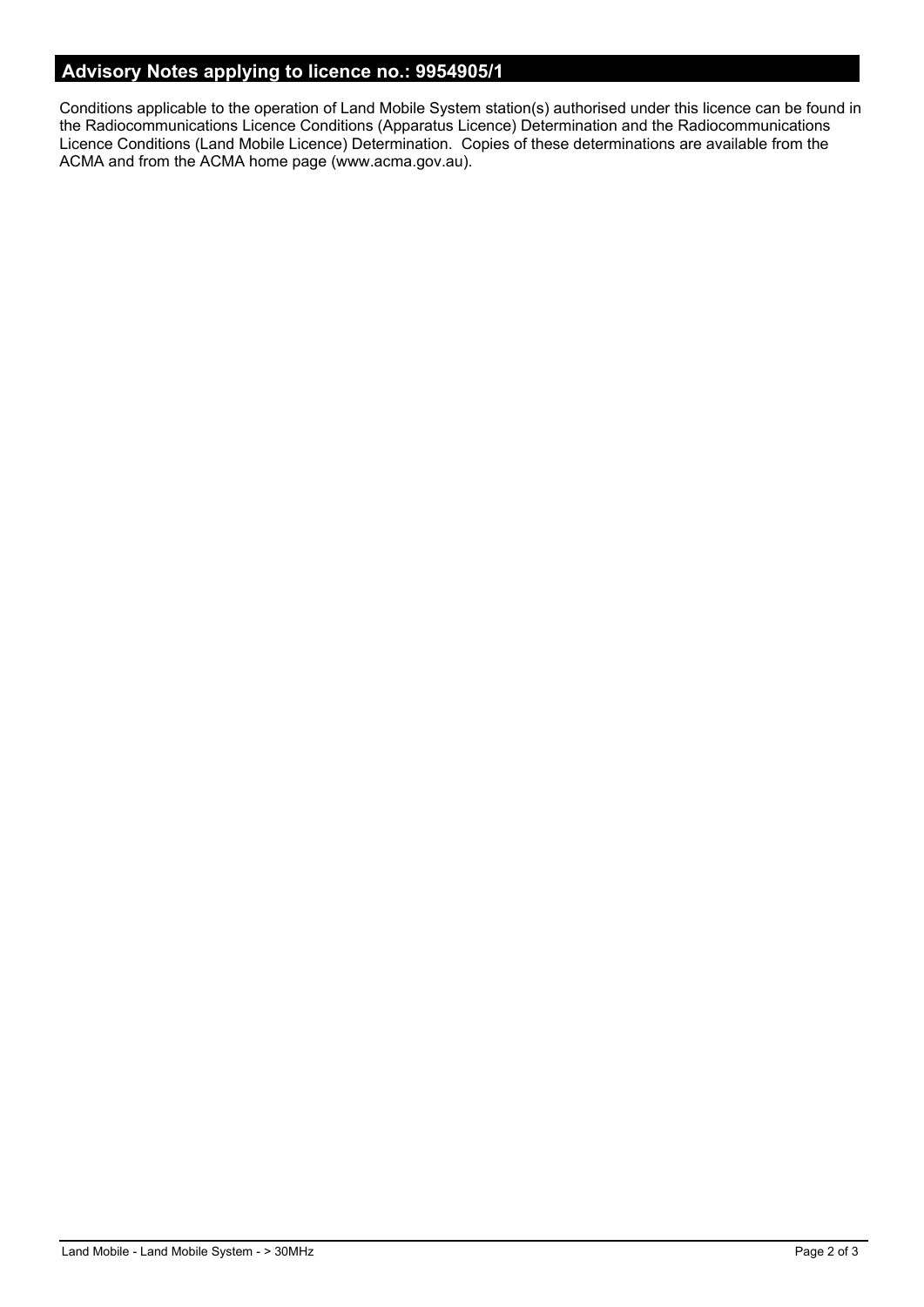## **Advisory Notes applying to licence no.: 9954905/1**

Conditions applicable to the operation of Land Mobile System station(s) authorised under this licence can be found in the Radiocommunications Licence Conditions (Apparatus Licence) Determination and the Radiocommunications Licence Conditions (Land Mobile Licence) Determination. Copies of these determinations are available from the ACMA and from the ACMA home page (www.acma.gov.au).